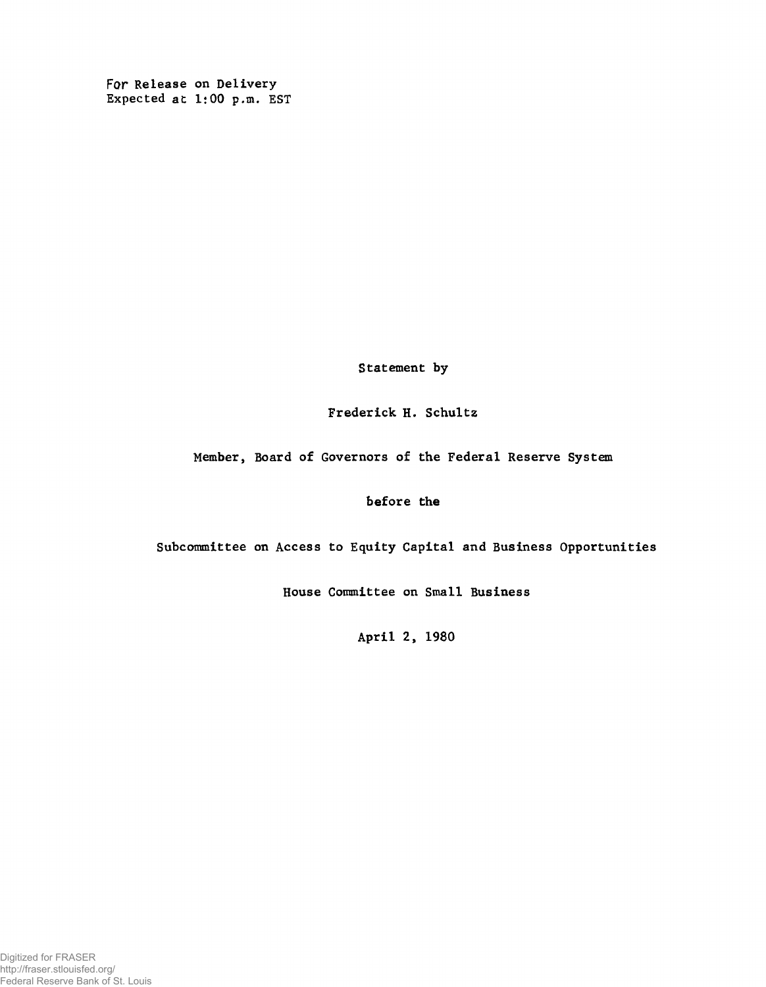For Release on Delivery Expected at 1:00 p.m. EST

Statement by

Frederick H. Schultz

Member, Board of Governors of the Federal Reserve System

before the

Subcommittee on Access to Equity Capital and Business Opportunities

House Committee on Small Business

April 2, 1980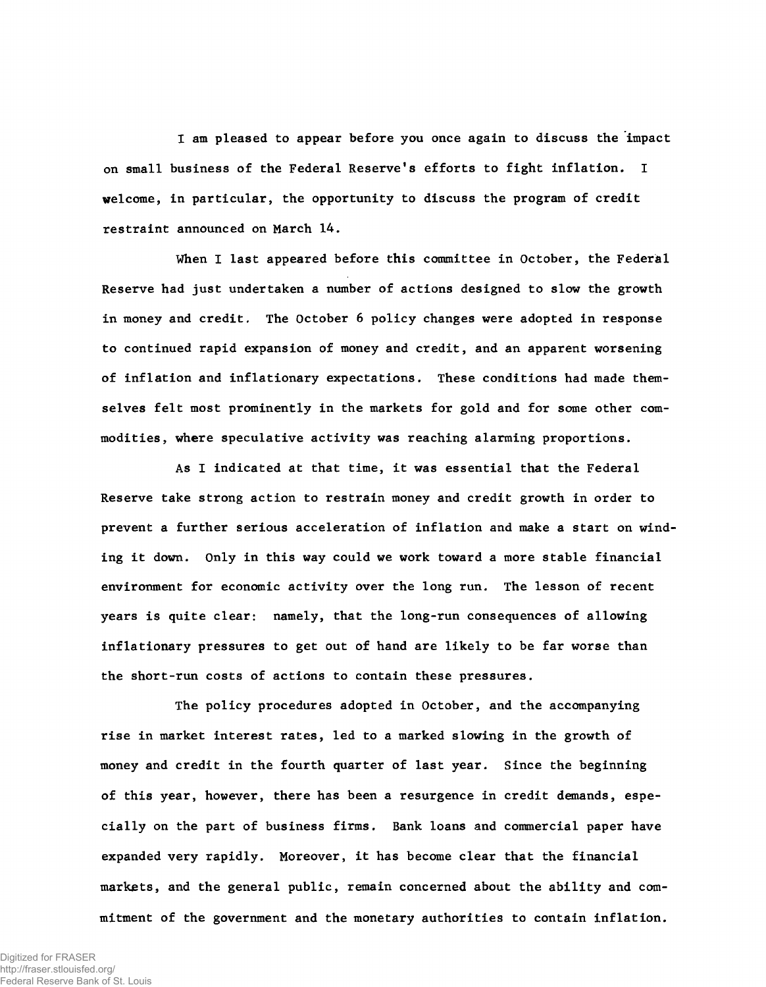I am pleased to appear before you once again to discuss the impact on small business of the Federal Reserve's efforts to fight inflation. I welcome, in particular, the opportunity to discuss the program of credit restraint announced on March 14.

When I last appeared before this committee in October, the Federal Reserve had just undertaken a number of actions designed to slow the growth in money and credit. The October 6 policy changes were adopted in response to continued rapid expansion of money and credit, and an apparent worsening of inflation and inflationary expectations. These conditions had made themselves felt most prominently in the markets for gold and for some other commodities, where speculative activity was reaching alarming proportions.

As I indicated at that time, it was essential that the Federal Reserve take strong action to restrain money and credit growth in order to prevent a further serious acceleration of inflation and make a start on winding it down. Only in this way could we work toward a more stable financial environment for economic activity over the long run. The lesson of recent years is quite clear: namely, that the long-run consequences of allowing inflationary pressures to get out of hand are likely to be far worse than the short-run costs of actions to contain these pressures.

The policy procedures adopted in October, and the accompanying rise in market interest rates, led to a marked slowing in the growth of money and credit in the fourth quarter of last year. Since the beginning of this year, however, there has been a resurgence in credit demands, especially on the part of business firms. Bank loans and commercial paper have expanded very rapidly. Moreover, it has become clear that the financial markets, and the general public, remain concerned about the ability and commitment of the government and the monetary authorities to contain inflation.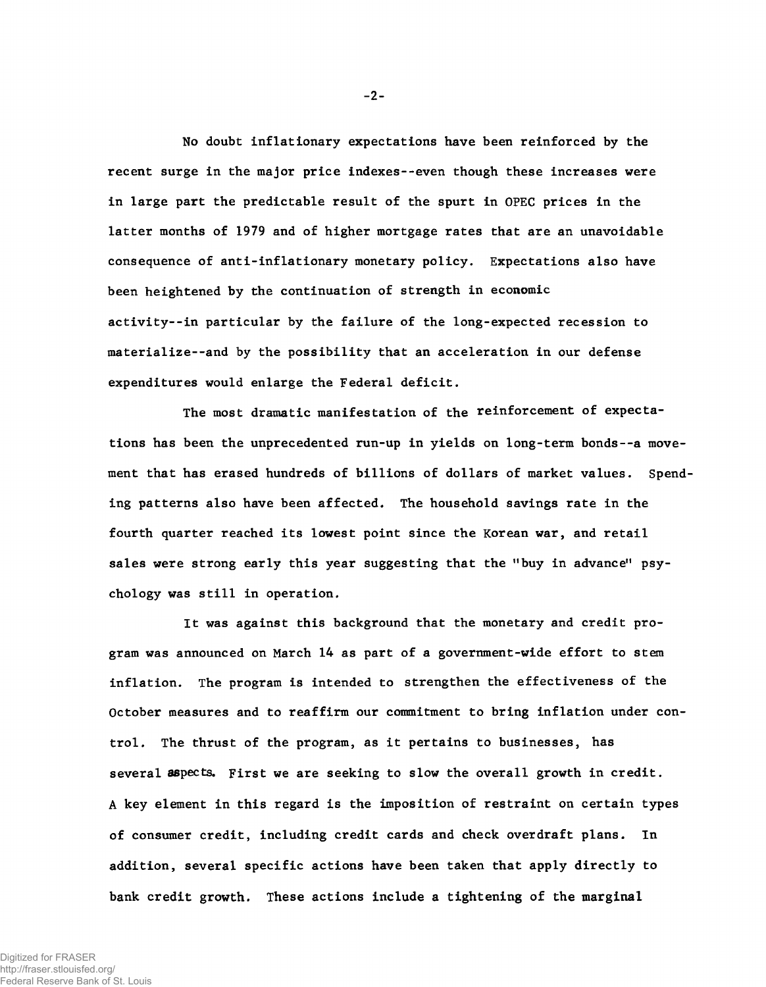No doubt inflationary expectations have been reinforced by the recent surge in the major price indexes--even though these increases were in large part the predictable result of the spurt in OPEC prices in the latter months of 1979 and of higher mortgage rates that are an unavoidable consequence of anti-inflationary monetary policy. Expectations also have been heightened by the continuation of strength in economic activity--in particular by the failure of the long-expected recession to materialize--and by the possibility that an acceleration in our defense expenditures would enlarge the Federal deficit.

The most dramatic manifestation of the reinforcement of expectations has been the unprecedented run-up in yields on long-term bonds--a movement that has erased hundreds of billions of dollars of market values. Spending patterns also have been affected. The household savings rate in the fourth quarter reached its lowest point since the Korean war, and retail sales were strong early this year suggesting that the "buy in advance" psychology was still in operation.

It was against this background that the monetary and credit program was announced on March 14 as part of a government-wide effort to stem inflation. The program is intended to strengthen the effectiveness of the October measures and to reaffirm our commitment to bring inflation under control. The thrust of the program, as it pertains to businesses, has several aspects. First we are seeking to slow the overall growth in credit. A key element in this regard is the imposition of restraint on certain types of consumer credit, including credit cards and check overdraft plans. In addition, several specific actions have been taken that apply directly to bank credit growth. These actions include a tightening of the marginal

**- 2-**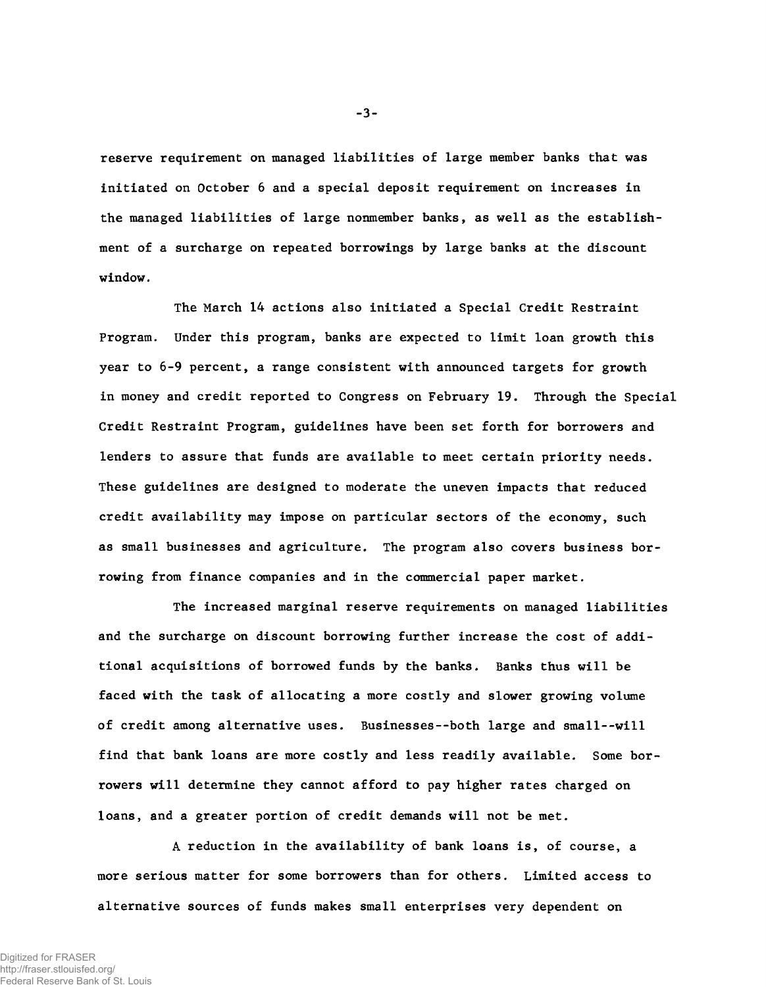reserve requirement on managed liabilities of large member banks that was initiated on October 6 and a special deposit requirement on increases in the managed liabilities of large nonmember banks, as well as the establishment of a surcharge on repeated borrowings by large banks at the discount window.

The March 14 actions also initiated a Special Credit Restraint Program. Under this program, banks are expected to limit loan growth this year to 6-9 percent, a range consistent with announced targets for growth in money and credit reported to Congress on February 19. Through the Special Credit Restraint Program, guidelines have been set forth for borrowers and lenders to assure that funds are available to meet certain priority needs. These guidelines are designed to moderate the uneven impacts that reduced credit availability may impose on particular sectors of the economy, such as small businesses and agriculture. The program also covers business borrowing from finance companies and in the commercial paper market.

The increased marginal reserve requirements on managed liabilities and the surcharge on discount borrowing further increase the cost of additional acquisitions of borrowed funds by the banks. Banks thus will be faced with the task of allocating a more costly and slower growing volume of credit among alternative uses. Businesses--both large and small--will find that bank loans are more costly and less readily available. Some borrowers will determine they cannot afford to pay higher rates charged on loans, and a greater portion of credit demands will not be met.

A reduction in the availability of bank loans is, of course, a more serious matter for some borrowers than for others. Limited access to alternative sources of funds makes small enterprises very dependent on

 $-3-$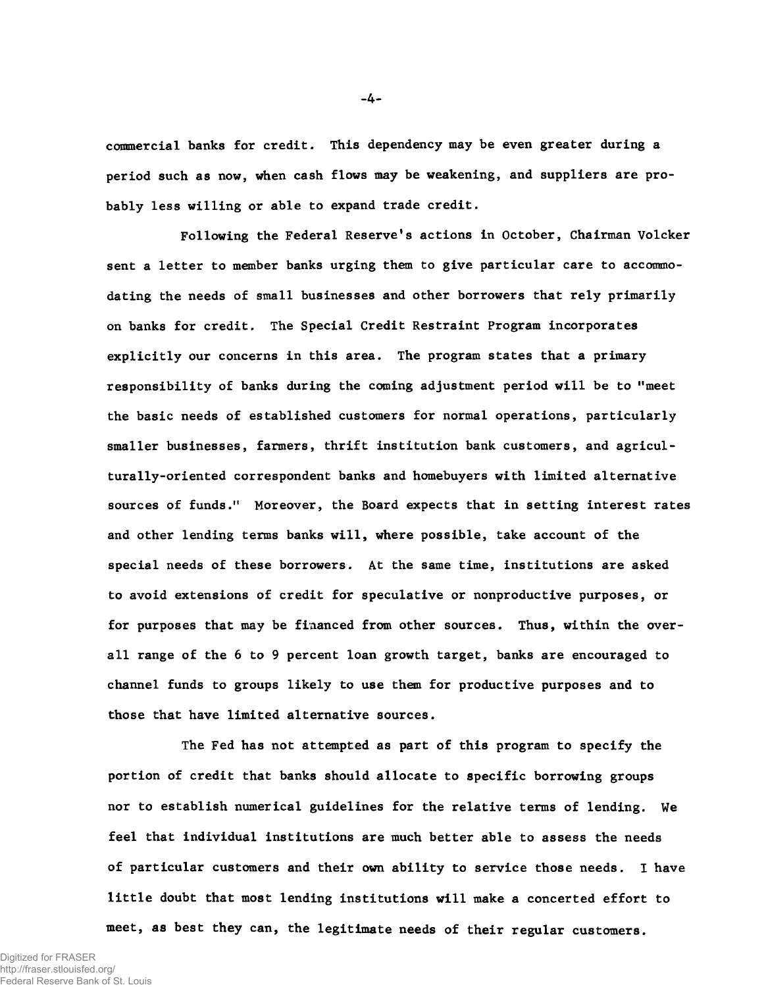commercial banks for credit. This dependency may be even greater during a period such as now, when cash flows may be weakening, and suppliers are probably less willing or able to expand trade credit.

Following the Federal Reserve's actions in October, Chairman Volcker sent a letter to member banks urging them to give particular care to accommodating the needs of small businesses and other borrowers that rely primarily on banks for credit. The Special Credit Restraint Program incorporates explicitly our concerns in this area. The program states that a primary responsibility of banks during the coming adjustment period will be to "meet the basic needs of established customers for normal operations, particularly smaller businesses, farmers, thrift institution bank customers, and agriculturally-oriented correspondent banks and homebuyers with limited alternative sources of funds." Moreover, the Board expects that in setting interest rates and other lending terms banks will, where possible, take account of the special needs of these borrowers. At the same time, institutions are asked to avoid extensions of credit for speculative or nonproductive purposes, or for purposes that may be financed from other sources. Thus, within the overall range of the 6 to 9 percent loan growth target, banks are encouraged to channel funds to groups likely to use them for productive purposes and to those that have limited alternative sources.

The Fed has not attempted as part of this program to specify the portion of credit that banks should allocate to specific borrowing groups nor to establish numerical guidelines for the relative terms of lending. We feel that individual institutions are much better able to assess the needs of particular customers and their own ability to service those needs. I have little doubt that most lending institutions will make a concerted effort to meet, as best they can, the legitimate needs of their regular customers.

 $-4-$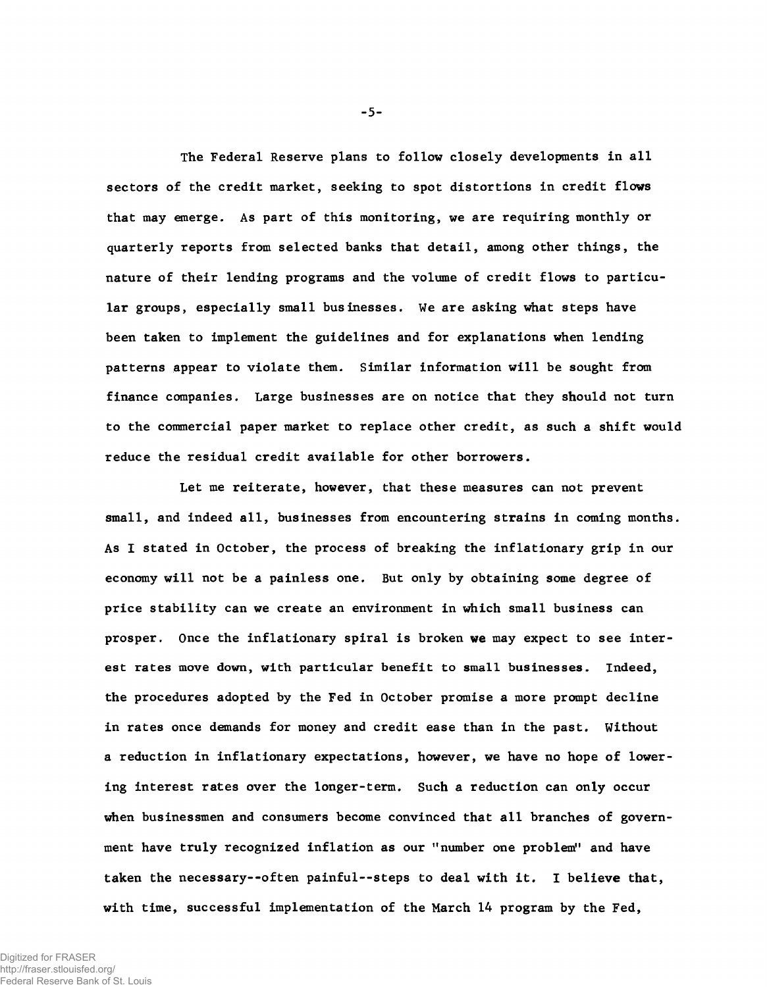The Federal Reserve plans to follow closely developments in all sectors of the credit market, seeking to spot distortions in credit flows that may emerge. As part of this monitoring, we are requiring monthly or quarterly reports from selected banks that detail, among other things, the nature of their lending programs and the volume of credit flows to particular groups, especially small businesses. We are asking what steps have been taken to implement the guidelines and for explanations when lending patterns appear to violate them. Similar information will be sought from finance companies. Large businesses are on notice that they should not turn to the commercial paper market to replace other credit, as such a shift would reduce the residual credit available for other borrowers.

Let me reiterate, however, that these measures can not prevent small, and indeed all, businesses from encountering strains in coming months. As I stated in October, the process of breaking the inflationary grip in our economy will not be a painless one. But only by obtaining some degree of price stability can we create an environment in which small business can prosper. Once the inflationary spiral is broken we may expect to see interest rates move down, with particular benefit to small businesses. Indeed, the procedures adopted by the Fed in October promise a more prompt decline in rates once demands for money and credit ease than in the past. Without a reduction in inflationary expectations, however, we have no hope of lowering interest rates over the longer-term. Such a reduction can only occur when businessmen and consumers become convinced that all branches of government have truly recognized inflation as our "number one problem" and have taken the necessary--often painful— steps to deal with it. I believe that, with time, successful implementation of the March 14 program by the Fed,

 $-5 -$